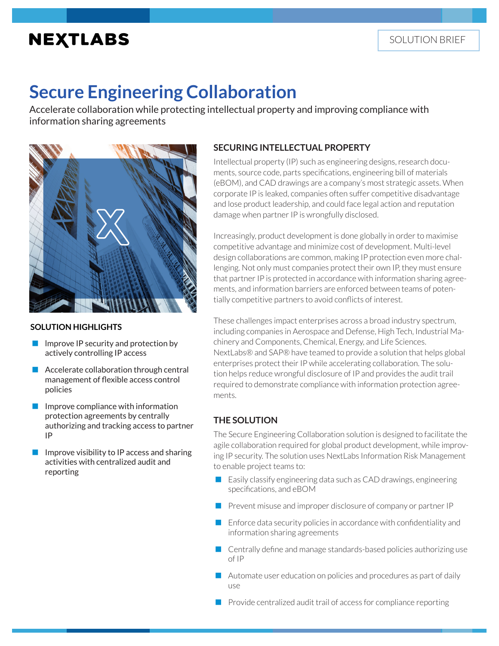## **NEXTLABS**

# **Secure Engineering Collaboration**

Accelerate collaboration while protecting intellectual property and improving compliance with information sharing agreements



#### **SOLUTION HIGHLIGHTS**

- $\blacksquare$  Improve IP security and protection by actively controlling IP access
- Accelerate collaboration through central management of flexible access control policies
- Improve compliance with information protection agreements by centrally authorizing and tracking access to partner IP
- Improve visibility to IP access and sharing activities with centralized audit and reporting

## **SECURING INTELLECTUAL PROPERTY**

Intellectual property (IP) such as engineering designs, research documents, source code, parts specifications, engineering bill of materials (eBOM), and CAD drawings are a company's most strategic assets. When corporate IP is leaked, companies often suffer competitive disadvantage and lose product leadership, and could face legal action and reputation damage when partner IP is wrongfully disclosed.

Increasingly, product development is done globally in order to maximise competitive advantage and minimize cost of development. Multi-level design collaborations are common, making IP protection even more challenging. Not only must companies protect their own IP, they must ensure that partner IP is protected in accordance with information sharing agreements, and information barriers are enforced between teams of potentially competitive partners to avoid conflicts of interest.

These challenges impact enterprises across a broad industry spectrum, including companies in Aerospace and Defense, High Tech, Industrial Machinery and Components, Chemical, Energy, and Life Sciences. NextLabs® and SAP® have teamed to provide a solution that helps global enterprises protect their IP while accelerating collaboration. The solution helps reduce wrongful disclosure of IP and provides the audit trail required to demonstrate compliance with information protection agreements.

#### **THE SOLUTION**

The Secure Engineering Collaboration solution is designed to facilitate the agile collaboration required for global product development, while improving IP security. The solution uses NextLabs Information Risk Management to enable project teams to:

- Easily classify engineering data such as CAD drawings, engineering specifications, and eBOM
- Prevent misuse and improper disclosure of company or partner IP
- $\blacksquare$  Enforce data security policies in accordance with confidentiality and information sharing agreements
- **Centrally define and manage standards-based policies authorizing use** of IP
- $\blacksquare$  Automate user education on policies and procedures as part of daily use
- $\blacksquare$  Provide centralized audit trail of access for compliance reporting